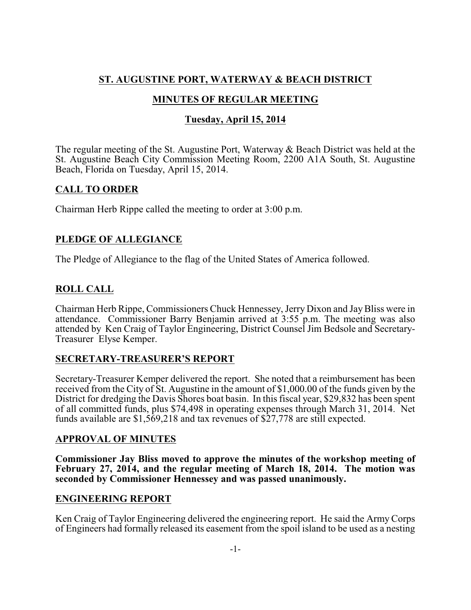# **ST. AUGUSTINE PORT, WATERWAY & BEACH DISTRICT**

# **MINUTES OF REGULAR MEETING**

# **Tuesday, April 15, 2014**

The regular meeting of the St. Augustine Port, Waterway & Beach District was held at the St. Augustine Beach City Commission Meeting Room, 2200 A1A South, St. Augustine Beach, Florida on Tuesday, April 15, 2014.

## **CALL TO ORDER**

Chairman Herb Rippe called the meeting to order at 3:00 p.m.

# **PLEDGE OF ALLEGIANCE**

The Pledge of Allegiance to the flag of the United States of America followed.

# **ROLL CALL**

Chairman Herb Rippe, Commissioners Chuck Hennessey, Jerry Dixon and JayBliss were in attendance. Commissioner Barry Benjamin arrived at 3:55 p.m. The meeting was also attended by Ken Craig of Taylor Engineering, District Counsel Jim Bedsole and Secretary-Treasurer Elyse Kemper.

# **SECRETARY-TREASURER'S REPORT**

Secretary-Treasurer Kemper delivered the report. She noted that a reimbursement has been received from the City of St. Augustine in the amount of \$1,000.00 of the funds given by the District for dredging the Davis Shores boat basin. In this fiscal year, \$29,832 has been spent of all committed funds, plus \$74,498 in operating expenses through March 31, 2014. Net funds available are \$1,569,218 and tax revenues of \$27,778 are still expected.

## **APPROVAL OF MINUTES**

**Commissioner Jay Bliss moved to approve the minutes of the workshop meeting of February 27, 2014, and the regular meeting of March 18, 2014. The motion was seconded by Commissioner Hennessey and was passed unanimously.**

# **ENGINEERING REPORT**

Ken Craig of Taylor Engineering delivered the engineering report. He said the Army Corps of Engineers had formally released its easement from the spoil island to be used as a nesting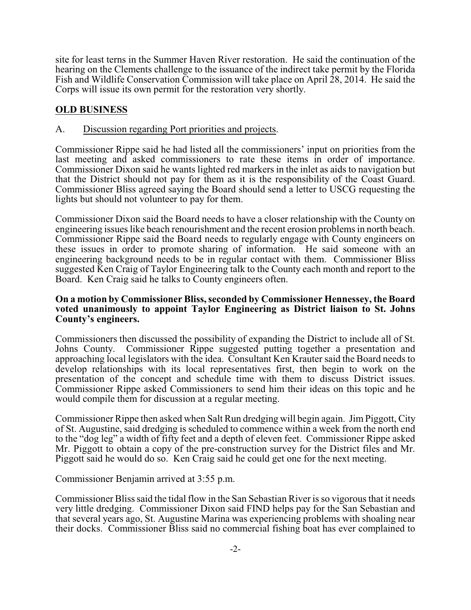site for least terns in the Summer Haven River restoration. He said the continuation of the hearing on the Clements challenge to the issuance of the indirect take permit by the Florida Fish and Wildlife Conservation Commission will take place on April 28, 2014. He said the Corps will issue its own permit for the restoration very shortly.

## **OLD BUSINESS**

#### A. Discussion regarding Port priorities and projects.

Commissioner Rippe said he had listed all the commissioners' input on priorities from the last meeting and asked commissioners to rate these items in order of importance. Commissioner Dixon said he wants lighted red markers in the inlet as aids to navigation but that the District should not pay for them as it is the responsibility of the Coast Guard. Commissioner Bliss agreed saying the Board should send a letter to USCG requesting the lights but should not volunteer to pay for them.

Commissioner Dixon said the Board needs to have a closer relationship with the County on engineering issues like beach renourishment and the recent erosion problems in north beach. Commissioner Rippe said the Board needs to regularly engage with County engineers on these issues in order to promote sharing of information. He said someone with an engineering background needs to be in regular contact with them. Commissioner Bliss suggested Ken Craig of Taylor Engineering talk to the County each month and report to the Board. Ken Craig said he talks to County engineers often.

#### **On a motion by Commissioner Bliss, seconded by Commissioner Hennessey, the Board voted unanimously to appoint Taylor Engineering as District liaison to St. Johns County's engineers.**

Commissioners then discussed the possibility of expanding the District to include all of St. Johns County. Commissioner Rippe suggested putting together a presentation and approaching local legislators with the idea. Consultant Ken Krauter said the Board needs to develop relationships with its local representatives first, then begin to work on the presentation of the concept and schedule time with them to discuss District issues. Commissioner Rippe asked Commissioners to send him their ideas on this topic and he would compile them for discussion at a regular meeting.

Commissioner Rippe then asked when Salt Run dredging will begin again. Jim Piggott, City of St. Augustine, said dredging is scheduled to commence within a week from the north end to the "dog leg" a width of fifty feet and a depth of eleven feet. Commissioner Rippe asked Mr. Piggott to obtain a copy of the pre-construction survey for the District files and Mr. Piggott said he would do so. Ken Craig said he could get one for the next meeting.

Commissioner Benjamin arrived at 3:55 p.m.

Commissioner Bliss said the tidal flow in the San Sebastian River is so vigorous that it needs very little dredging. Commissioner Dixon said FIND helps pay for the San Sebastian and that several years ago, St. Augustine Marina was experiencing problems with shoaling near their docks. Commissioner Bliss said no commercial fishing boat has ever complained to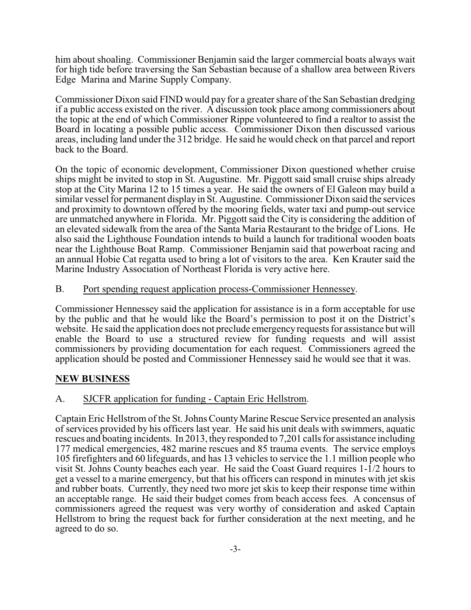him about shoaling. Commissioner Benjamin said the larger commercial boats always wait for high tide before traversing the San Sebastian because of a shallow area between Rivers Edge Marina and Marine Supply Company.

Commissioner Dixon said FIND would pay for a greater share of the San Sebastian dredging if a public access existed on the river. A discussion took place among commissioners about the topic at the end of which Commissioner Rippe volunteered to find a realtor to assist the Board in locating a possible public access. Commissioner Dixon then discussed various areas, including land under the 312 bridge. He said he would check on that parcel and report back to the Board.

On the topic of economic development, Commissioner Dixon questioned whether cruise ships might be invited to stop in St. Augustine. Mr. Piggott said small cruise ships already stop at the City Marina 12 to 15 times a year. He said the owners of El Galeon may build a similar vessel for permanent display in St. Augustine. Commissioner Dixon said the services and proximity to downtown offered by the mooring fields, water taxi and pump-out service are unmatched anywhere in Florida. Mr. Piggott said the City is considering the addition of an elevated sidewalk from the area of the Santa Maria Restaurant to the bridge of Lions. He also said the Lighthouse Foundation intends to build a launch for traditional wooden boats near the Lighthouse Boat Ramp. Commissioner Benjamin said that powerboat racing and an annual Hobie Cat regatta used to bring a lot of visitors to the area. Ken Krauter said the Marine Industry Association of Northeast Florida is very active here.

### B. Port spending request application process-Commissioner Hennessey.

Commissioner Hennessey said the application for assistance is in a form acceptable for use by the public and that he would like the Board's permission to post it on the District's website. He said the application does not preclude emergencyrequests for assistance but will enable the Board to use a structured review for funding requests and will assist commissioners by providing documentation for each request. Commissioners agreed the application should be posted and Commissioner Hennessey said he would see that it was.

### **NEW BUSINESS**

### A. SJCFR application for funding - Captain Eric Hellstrom.

Captain Eric Hellstrom of the St. Johns CountyMarine Rescue Service presented an analysis of services provided by his officers last year. He said his unit deals with swimmers, aquatic rescues and boating incidents. In 2013, theyresponded to 7,201 calls for assistance including 177 medical emergencies, 482 marine rescues and 85 trauma events. The service employs 105 firefighters and 60 lifeguards, and has 13 vehicles to service the 1.1 million people who visit St. Johns County beaches each year. He said the Coast Guard requires 1-1/2 hours to get a vessel to a marine emergency, but that his officers can respond in minutes with jet skis and rubber boats. Currently, they need two more jet skis to keep their response time within an acceptable range. He said their budget comes from beach access fees. A concensus of commissioners agreed the request was very worthy of consideration and asked Captain Hellstrom to bring the request back for further consideration at the next meeting, and he agreed to do so.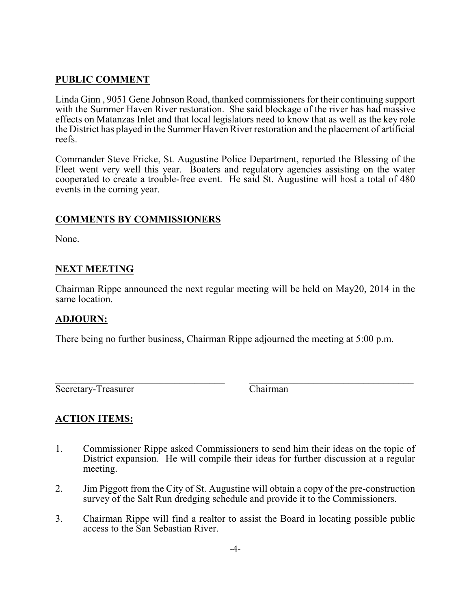## **PUBLIC COMMENT**

Linda Ginn , 9051 Gene Johnson Road, thanked commissioners for their continuing support with the Summer Haven River restoration. She said blockage of the river has had massive effects on Matanzas Inlet and that local legislators need to know that as well as the key role the District has played in the Summer Haven River restoration and the placement of artificial reefs.

Commander Steve Fricke, St. Augustine Police Department, reported the Blessing of the Fleet went very well this year. Boaters and regulatory agencies assisting on the water cooperated to create a trouble-free event. He said St. Augustine will host a total of 480 events in the coming year.

## **COMMENTS BY COMMISSIONERS**

None.

## **NEXT MEETING**

Chairman Rippe announced the next regular meeting will be held on May20, 2014 in the same location.

### **ADJOURN:**

There being no further business, Chairman Rippe adjourned the meeting at 5:00 p.m.

\_\_\_\_\_\_\_\_\_\_\_\_\_\_\_\_\_\_\_\_\_\_\_\_\_\_\_\_\_\_\_\_\_\_ \_\_\_\_\_\_\_\_\_\_\_\_\_\_\_\_\_\_\_\_\_\_\_\_\_\_\_\_\_\_\_\_\_ Secretary-Treasurer Chairman

## **ACTION ITEMS:**

- 1. Commissioner Rippe asked Commissioners to send him their ideas on the topic of District expansion. He will compile their ideas for further discussion at a regular meeting.
- 2. Jim Piggott from the City of St. Augustine will obtain a copy of the pre-construction survey of the Salt Run dredging schedule and provide it to the Commissioners.
- 3. Chairman Rippe will find a realtor to assist the Board in locating possible public access to the San Sebastian River.